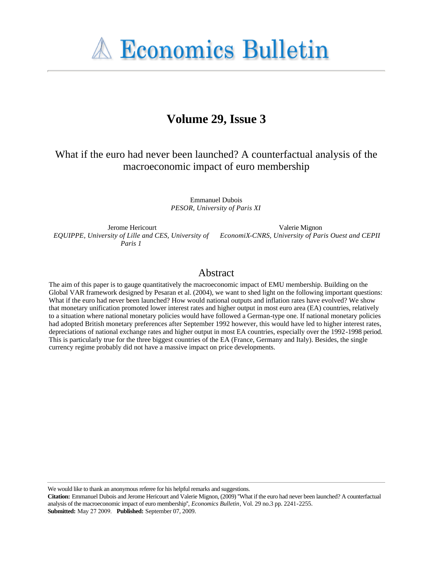**A Economics Bulletin** 

# **Volume 29, Issue 3**

What if the euro had never been launched? A counterfactual analysis of the macroeconomic impact of euro membership

> Emmanuel Dubois *PESOR, University of Paris XI*

Jerome Hericourt *Paris 1*

*EQUIPPE, University of Lille and CES, University of EconomiX-CNRS, University of Paris Ouest and CEPII* Valerie Mignon

#### Abstract

The aim of this paper is to gauge quantitatively the macroeconomic impact of EMU membership. Building on the Global VAR framework designed by Pesaran et al. (2004), we want to shed light on the following important questions: What if the euro had never been launched? How would national outputs and inflation rates have evolved? We show that monetary unification promoted lower interest rates and higher output in most euro area (EA) countries, relatively to a situation where national monetary policies would have followed a German-type one. If national monetary policies had adopted British monetary preferences after September 1992 however, this would have led to higher interest rates, depreciations of national exchange rates and higher output in most EA countries, especially over the 1992-1998 period. This is particularly true for the three biggest countries of the EA (France, Germany and Italy). Besides, the single currency regime probably did not have a massive impact on price developments.

We would like to thank an anonymous referee for his helpful remarks and suggestions.

**Citation:** Emmanuel Dubois and Jerome Hericourt and Valerie Mignon, (2009) ''What if the euro had never been launched? A counterfactual analysis of the macroeconomic impact of euro membership'', *Economics Bulletin*, Vol. 29 no.3 pp. 2241-2255. **Submitted:** May 27 2009. **Published:** September 07, 2009.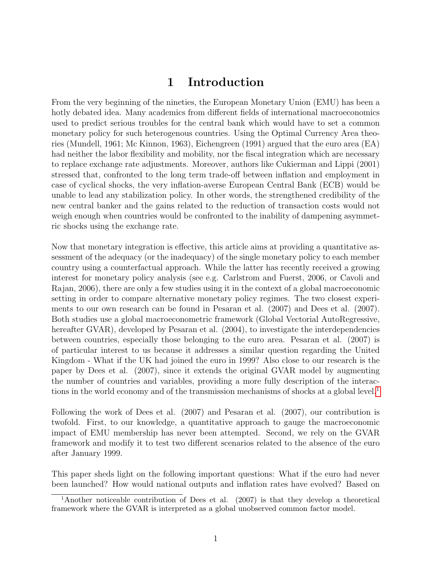## 1 Introduction

From the very beginning of the nineties, the European Monetary Union (EMU) has been a hotly debated idea. Many academics from different fields of international macroeconomics used to predict serious troubles for the central bank which would have to set a common monetary policy for such heterogenous countries. Using the Optimal Currency Area theories (Mundell, 1961; Mc Kinnon, 1963), Eichengreen (1991) argued that the euro area (EA) had neither the labor flexibility and mobility, nor the fiscal integration which are necessary to replace exchange rate adjustments. Moreover, authors like Cukierman and Lippi (2001) stressed that, confronted to the long term trade-off between inflation and employment in case of cyclical shocks, the very inflation-averse European Central Bank (ECB) would be unable to lead any stabilization policy. In other words, the strengthened credibility of the new central banker and the gains related to the reduction of transaction costs would not weigh enough when countries would be confronted to the inability of dampening asymmetric shocks using the exchange rate.

Now that monetary integration is effective, this article aims at providing a quantitative assessment of the adequacy (or the inadequacy) of the single monetary policy to each member country using a counterfactual approach. While the latter has recently received a growing interest for monetary policy analysis (see e.g. Carlstrom and Fuerst, 2006, or Cavoli and Rajan, 2006), there are only a few studies using it in the context of a global macroeconomic setting in order to compare alternative monetary policy regimes. The two closest experiments to our own research can be found in Pesaran et al. (2007) and Dees et al. (2007). Both studies use a global macroeconometric framework (Global Vectorial AutoRegressive, hereafter GVAR), developed by Pesaran et al.  $(2004)$ , to investigate the interdependencies between countries, especially those belonging to the euro area. Pesaran et al. (2007) is of particular interest to us because it addresses a similar question regarding the United Kingdom - What if the UK had joined the euro in 1999? Also close to our research is the paper by Dees et al. (2007), since it extends the original GVAR model by augmenting the number of countries and variables, providing a more fully description of the interactions in the world economy and of the transmission mechanisms of shocks at a global level.<sup>1</sup>

Following the work of Dees et al. (2007) and Pesaran et al. (2007), our contribution is twofold. First, to our knowledge, a quantitative approach to gauge the macroeconomic impact of EMU membership has never been attempted. Second, we rely on the GVAR framework and modify it to test two different scenarios related to the absence of the euro after January 1999.

This paper sheds light on the following important questions: What if the euro had never been launched? How would national outputs and inflation rates have evolved? Based on

<sup>1</sup>Another noticeable contribution of Dees et al. (2007) is that they develop a theoretical framework where the GVAR is interpreted as a global unobserved common factor model.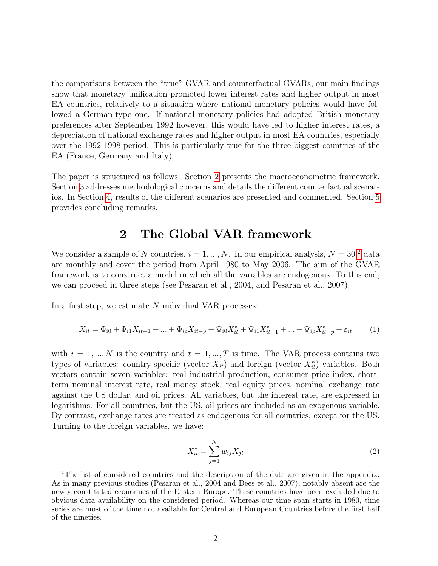the comparisons between the "true" GVAR and counterfactual GVARs, our main findings show that monetary unification promoted lower interest rates and higher output in most EA countries, relatively to a situation where national monetary policies would have followed a German-type one. If national monetary policies had adopted British monetary preferences after September 1992 however, this would have led to higher interest rates, a depreciation of national exchange rates and higher output in most EA countries, especially over the 1992-1998 period. This is particularly true for the three biggest countries of the EA (France, Germany and Italy).

The paper is structured as follows. Section 2 presents the macroeconometric framework. Section 3 addresses methodological concerns and details the different counterfactual scenarios. In Section 4, results of the different scenarios are presented and commented. Section 5 provides concluding remarks.

### 2 The Global VAR framework

We consider a sample of N countries,  $i = 1, ..., N$ . In our empirical analysis,  $N = 30$ , data are monthly and cover the period from April 1980 to May 2006. The aim of the GVAR framework is to construct a model in which all the variables are endogenous. To this end, we can proceed in three steps (see Pesaran et al., 2004, and Pesaran et al., 2007).

In a first step, we estimate  $N$  individual VAR processes:

$$
X_{it} = \Phi_{i0} + \Phi_{i1} X_{it-1} + \dots + \Phi_{ip} X_{it-p} + \Psi_{i0} X_{it}^* + \Psi_{i1} X_{it-1}^* + \dots + \Psi_{ip} X_{it-p}^* + \varepsilon_{it}
$$
 (1)

with  $i = 1, ..., N$  is the country and  $t = 1, ..., T$  is time. The VAR process contains two types of variables: country-specific (vector  $X_{it}$ ) and foreign (vector  $X_{it}^*$ ) variables. Both vectors contain seven variables: real industrial production, consumer price index, shortterm nominal interest rate, real money stock, real equity prices, nominal exchange rate against the US dollar, and oil prices. All variables, but the interest rate, are expressed in logarithms. For all countries, but the US, oil prices are included as an exogenous variable. By contrast, exchange rates are treated as endogenous for all countries, except for the US. Turning to the foreign variables, we have:

$$
X_{it}^{*} = \sum_{j=1}^{N} w_{ij} X_{jt}
$$
 (2)

<sup>2</sup>The list of considered countries and the description of the data are given in the appendix. As in many previous studies (Pesaran et al., 2004 and Dees et al., 2007), notably absent are the newly constituted economies of the Eastern Europe. These countries have been excluded due to obvious data availability on the considered period. Whereas our time span starts in 1980, time series are most of the time not available for Central and European Countries before the first half of the nineties.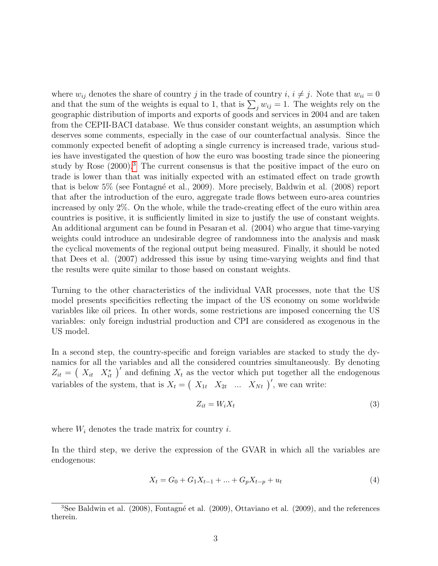where  $w_{ij}$  denotes the share of country j in the trade of country  $i, i \neq j$ . Note that  $w_{ii} = 0$ and that the sum of the weights is equal to 1, that is  $\sum_j w_{ij} = 1$ . The weights rely on the geographic distribution of imports and exports of goods and services in 2004 and are taken from the CEPII-BACI database. We thus consider constant weights, an assumption which deserves some comments, especially in the case of our counterfactual analysis. Since the commonly expected benefit of adopting a single currency is increased trade, various studies have investigated the question of how the euro was boosting trade since the pioneering study by Rose (2000).<sup>3</sup> The current consensus is that the positive impact of the euro on trade is lower than that was initially expected with an estimated effect on trade growth that is below 5% (see Fontagné et al., 2009). More precisely, Baldwin et al. (2008) report that after the introduction of the euro, aggregate trade flows between euro-area countries increased by only 2%. On the whole, while the trade-creating effect of the euro within area countries is positive, it is sufficiently limited in size to justify the use of constant weights. An additional argument can be found in Pesaran et al. (2004) who argue that time-varying weights could introduce an undesirable degree of randomness into the analysis and mask the cyclical movements of the regional output being measured. Finally, it should be noted that Dees et al. (2007) addressed this issue by using time-varying weights and find that the results were quite similar to those based on constant weights.

Turning to the other characteristics of the individual VAR processes, note that the US model presents specificities reflecting the impact of the US economy on some worldwide variables like oil prices. In other words, some restrictions are imposed concerning the US variables: only foreign industrial production and CPI are considered as exogenous in the US model.

In a second step, the country-specific and foreign variables are stacked to study the dynamics for all the variables and all the considered countries simultaneously. By denoting  $Z_{it} = (X_{it} X_{it}^*)'$  and defining  $X_t$  as the vector which put together all the endogenous variables of the system, that is  $X_t = \begin{pmatrix} X_{1t} & X_{2t} & \dots & X_{Nt} \end{pmatrix}$ , we can write:

$$
Z_{it} = W_i X_t \tag{3}
$$

where  $W_i$  denotes the trade matrix for country i.

In the third step, we derive the expression of the GVAR in which all the variables are endogenous:

$$
X_t = G_0 + G_1 X_{t-1} + \dots + G_p X_{t-p} + u_t \tag{4}
$$

<sup>&</sup>lt;sup>3</sup>See Baldwin et al. (2008), Fontagné et al. (2009), Ottaviano et al. (2009), and the references therein.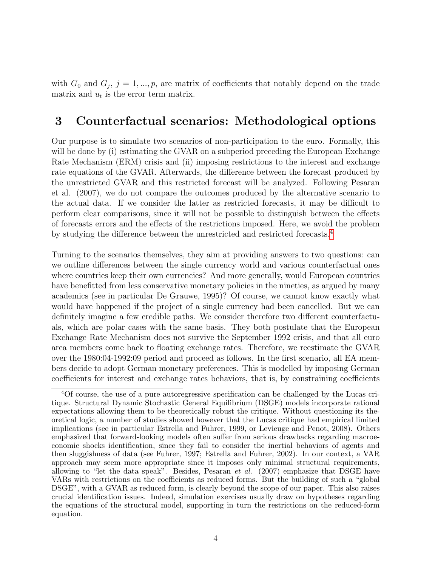with  $G_0$  and  $G_j$ ,  $j = 1, ..., p$ , are matrix of coefficients that notably depend on the trade matrix and  $u_t$  is the error term matrix.

### 3 Counterfactual scenarios: Methodological options

Our purpose is to simulate two scenarios of non-participation to the euro. Formally, this will be done by (i) estimating the GVAR on a subperiod preceding the European Exchange Rate Mechanism (ERM) crisis and (ii) imposing restrictions to the interest and exchange rate equations of the GVAR. Afterwards, the difference between the forecast produced by the unrestricted GVAR and this restricted forecast will be analyzed. Following Pesaran et al. (2007), we do not compare the outcomes produced by the alternative scenario to the actual data. If we consider the latter as restricted forecasts, it may be difficult to perform clear comparisons, since it will not be possible to distinguish between the effects of forecasts errors and the effects of the restrictions imposed. Here, we avoid the problem by studying the difference between the unrestricted and restricted forecasts.4

Turning to the scenarios themselves, they aim at providing answers to two questions: can we outline differences between the single currency world and various counterfactual ones where countries keep their own currencies? And more generally, would European countries have benefitted from less conservative monetary policies in the nineties, as argued by many academics (see in particular De Grauwe, 1995)? Of course, we cannot know exactly what would have happened if the project of a single currency had been cancelled. But we can definitely imagine a few credible paths. We consider therefore two different counterfactuals, which are polar cases with the same basis. They both postulate that the European Exchange Rate Mechanism does not survive the September 1992 crisis, and that all euro area members come back to floating exchange rates. Therefore, we reestimate the GVAR over the 1980:04-1992:09 period and proceed as follows. In the first scenario, all EA members decide to adopt German monetary preferences. This is modelled by imposing German coefficients for interest and exchange rates behaviors, that is, by constraining coefficients

<sup>4</sup>Of course, the use of a pure autoregressive specification can be challenged by the Lucas critique. Structural Dynamic Stochastic General Equilibrium (DSGE) models incorporate rational expectations allowing them to be theoretically robust the critique. Without questioning its theoretical logic, a number of studies showed however that the Lucas critique had empirical limited implications (see in particular Estrella and Fuhrer, 1999, or Levieuge and Penot, 2008). Others emphasized that forward-looking models often suffer from serious drawbacks regarding macroeconomic shocks identification, since they fail to consider the inertial behaviors of agents and then sluggishness of data (see Fuhrer, 1997; Estrella and Fuhrer, 2002). In our context, a VAR approach may seem more appropriate since it imposes only minimal structural requirements, allowing to "let the data speak". Besides, Pesaran *et al.*  $(2007)$  emphasize that DSGE have VARs with restrictions on the coefficients as reduced forms. But the building of such a "global DSGE", with a GVAR as reduced form, is clearly beyond the scope of our paper. This also raises crucial identification issues. Indeed, simulation exercises usually draw on hypotheses regarding the equations of the structural model, supporting in turn the restrictions on the reduced-form equation.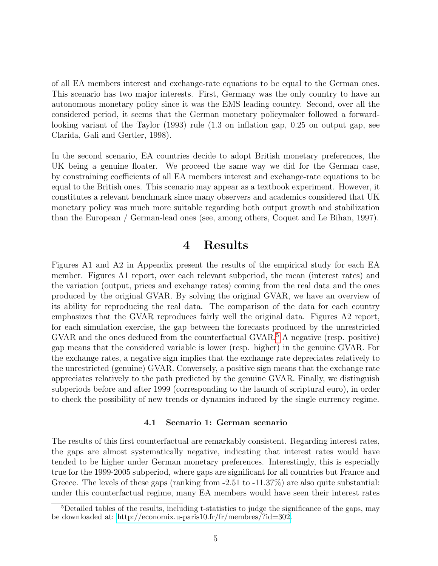of all EA members interest and exchange-rate equations to be equal to the German ones. This scenario has two major interests. First, Germany was the only country to have an autonomous monetary policy since it was the EMS leading country. Second, over all the considered period, it seems that the German monetary policymaker followed a forwardlooking variant of the Taylor (1993) rule (1.3 on inflation gap, 0.25 on output gap, see Clarida, Gali and Gertler, 1998).

In the second scenario, EA countries decide to adopt British monetary preferences, the UK being a genuine floater. We proceed the same way we did for the German case, by constraining coefficients of all EA members interest and exchange-rate equations to be equal to the British ones. This scenario may appear as a textbook experiment. However, it constitutes a relevant benchmark since many observers and academics considered that UK monetary policy was much more suitable regarding both output growth and stabilization than the European / German-lead ones (see, among others, Coquet and Le Bihan, 1997).

### 4 Results

Figures A1 and A2 in Appendix present the results of the empirical study for each EA member. Figures A1 report, over each relevant subperiod, the mean (interest rates) and the variation (output, prices and exchange rates) coming from the real data and the ones produced by the original GVAR. By solving the original GVAR, we have an overview of its ability for reproducing the real data. The comparison of the data for each country emphasizes that the GVAR reproduces fairly well the original data. Figures A2 report, for each simulation exercise, the gap between the forecasts produced by the unrestricted GVAR and the ones deduced from the counterfactual GVAR.<sup>5</sup> A negative (resp. positive) gap means that the considered variable is lower (resp. higher) in the genuine GVAR. For the exchange rates, a negative sign implies that the exchange rate depreciates relatively to the unrestricted (genuine) GVAR. Conversely, a positive sign means that the exchange rate appreciates relatively to the path predicted by the genuine GVAR. Finally, we distinguish subperiods before and after 1999 (corresponding to the launch of scriptural euro), in order to check the possibility of new trends or dynamics induced by the single currency regime.

#### 4.1 Scenario 1: German scenario

The results of this first counterfactual are remarkably consistent. Regarding interest rates, the gaps are almost systematically negative, indicating that interest rates would have tended to be higher under German monetary preferences. Interestingly, this is especially true for the 1999-2005 subperiod, where gaps are significant for all countries but France and Greece. The levels of these gaps (ranking from -2.51 to -11.37%) are also quite substantial: under this counterfactual regime, many EA members would have seen their interest rates

<sup>5</sup>Detailed tables of the results, including t-statistics to judge the significance of the gaps, may be downloaded at: [http://economix.u-paris10.fr/fr/membres/?id=302.](http://economix.u-paris10.fr/fr/membres/?id=302)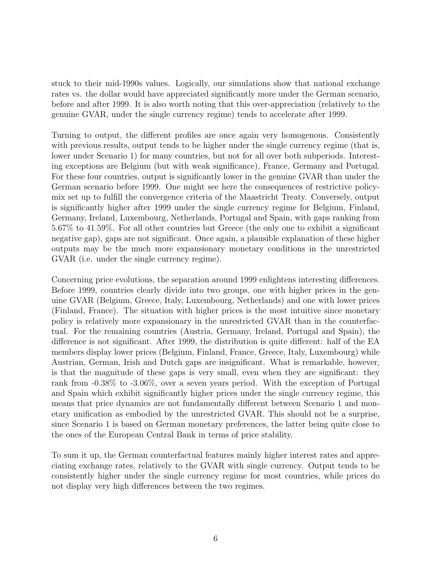stuck to their mid-1990s values. Logically, our simulations show that national exchange rates vs. the dollar would have appreciated significantly more under the German scenario, before and after 1999. It is also worth noting that this over-appreciation (relatively to the genuine GVAR, under the single currency regime) tends to accelerate after 1999.

Turning to output, the different profiles are once again very homogenous. Consistently with previous results, output tends to be higher under the single currency regime (that is, lower under Scenario 1) for many countries, but not for all over both subperiods. Interesting exceptions are Belgium (but with weak significance), France, Germany and Portugal. For these four countries, output is significantly lower in the genuine GVAR than under the German scenario before 1999. One might see here the consequences of restrictive policymix set up to fulfill the convergence criteria of the Maastricht Treaty. Conversely, output is significantly higher after 1999 under the single currency regime for Belgium, Finland, Germany, Ireland, Luxembourg, Netherlands, Portugal and Spain, with gaps ranking from 5.67% to 41.59%. For all other countries but Greece (the only one to exhibit a significant negative gap), gaps are not significant. Once again, a plausible explanation of these higher outputs may be the much more expansionary monetary conditions in the unrestricted GVAR (i.e. under the single currency regime).

Concerning price evolutions, the separation around 1999 enlightens interesting differences. Before 1999, countries clearly divide into two groups, one with higher prices in the genuine GVAR (Belgium, Greece, Italy, Luxembourg, Netherlands) and one with lower prices (Finland, France). The situation with higher prices is the most intuitive since monetary policy is relatively more expansionary in the unrestricted GVAR than in the counterfactual. For the remaining countries (Austria, Germany, Ireland, Portugal and Spain), the difference is not significant. After 1999, the distribution is quite different: half of the EA members display lower prices (Belgium, Finland, France, Greece, Italy, Luxembourg) while Austrian, German, Irish and Dutch gaps are insignificant. What is remarkable, however, is that the magnitude of these gaps is very small, even when they are significant: they rank from -0.38% to -3.06%, over a seven years period. With the exception of Portugal and Spain which exhibit significantly higher prices under the single currency regime, this means that price dynamics are not fundamentally different between Scenario 1 and monetary unification as embodied by the unrestricted GVAR. This should not be a surprise, since Scenario 1 is based on German monetary preferences, the latter being quite close to the ones of the European Central Bank in terms of price stability.

To sum it up, the German counterfactual features mainly higher interest rates and appreciating exchange rates, relatively to the GVAR with single currency. Output tends to be consistently higher under the single currency regime for most countries, while prices do not display very high differences between the two regimes.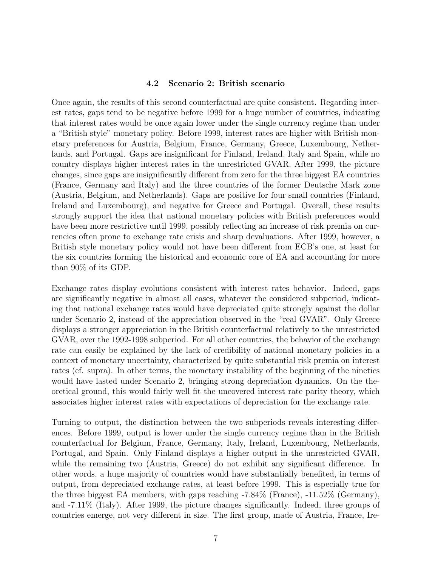#### 4.2 Scenario 2: British scenario

Once again, the results of this second counterfactual are quite consistent. Regarding interest rates, gaps tend to be negative before 1999 for a huge number of countries, indicating that interest rates would be once again lower under the single currency regime than under a "British style" monetary policy. Before 1999, interest rates are higher with British monetary preferences for Austria, Belgium, France, Germany, Greece, Luxembourg, Netherlands, and Portugal. Gaps are insignificant for Finland, Ireland, Italy and Spain, while no country displays higher interest rates in the unrestricted GVAR. After 1999, the picture changes, since gaps are insignificantly different from zero for the three biggest EA countries (France, Germany and Italy) and the three countries of the former Deutsche Mark zone (Austria, Belgium, and Netherlands). Gaps are positive for four small countries (Finland, Ireland and Luxembourg), and negative for Greece and Portugal. Overall, these results strongly support the idea that national monetary policies with British preferences would have been more restrictive until 1999, possibly reflecting an increase of risk premia on currencies often prone to exchange rate crisis and sharp devaluations. After 1999, however, a British style monetary policy would not have been different from ECB's one, at least for the six countries forming the historical and economic core of EA and accounting for more than 90% of its GDP.

Exchange rates display evolutions consistent with interest rates behavior. Indeed, gaps are significantly negative in almost all cases, whatever the considered subperiod, indicating that national exchange rates would have depreciated quite strongly against the dollar under Scenario 2, instead of the appreciation observed in the "real GVAR". Only Greece displays a stronger appreciation in the British counterfactual relatively to the unrestricted GVAR, over the 1992-1998 subperiod. For all other countries, the behavior of the exchange rate can easily be explained by the lack of credibility of national monetary policies in a context of monetary uncertainty, characterized by quite substantial risk premia on interest rates (cf. supra). In other terms, the monetary instability of the beginning of the nineties would have lasted under Scenario 2, bringing strong depreciation dynamics. On the theoretical ground, this would fairly well fit the uncovered interest rate parity theory, which associates higher interest rates with expectations of depreciation for the exchange rate.

Turning to output, the distinction between the two subperiods reveals interesting differences. Before 1999, output is lower under the single currency regime than in the British counterfactual for Belgium, France, Germany, Italy, Ireland, Luxembourg, Netherlands, Portugal, and Spain. Only Finland displays a higher output in the unrestricted GVAR, while the remaining two (Austria, Greece) do not exhibit any significant difference. In other words, a huge majority of countries would have substantially benefited, in terms of output, from depreciated exchange rates, at least before 1999. This is especially true for the three biggest EA members, with gaps reaching -7.84% (France), -11.52% (Germany), and -7.11% (Italy). After 1999, the picture changes significantly. Indeed, three groups of countries emerge, not very different in size. The first group, made of Austria, France, Ire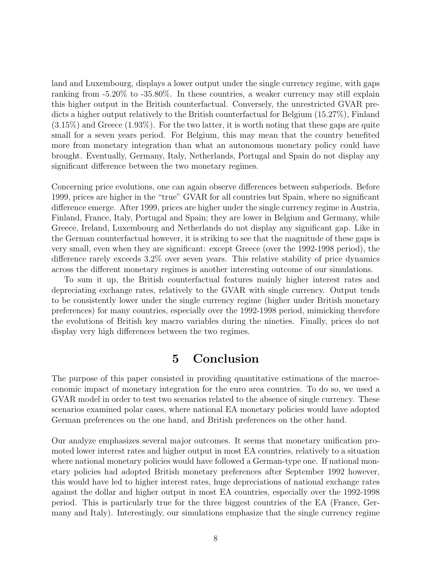land and Luxembourg, displays a lower output under the single currency regime, with gaps ranking from -5.20% to -35.80%. In these countries, a weaker currency may still explain this higher output in the British counterfactual. Conversely, the unrestricted GVAR predicts a higher output relatively to the British counterfactual for Belgium (15.27%), Finland  $(3.15\%)$  and Greece  $(1.93\%)$ . For the two latter, it is worth noting that these gaps are quite small for a seven years period. For Belgium, this may mean that the country benefited more from monetary integration than what an autonomous monetary policy could have brought. Eventually, Germany, Italy, Netherlands, Portugal and Spain do not display any significant difference between the two monetary regimes.

Concerning price evolutions, one can again observe differences between subperiods. Before 1999, prices are higher in the "true" GVAR for all countries but Spain, where no significant difference emerge. After 1999, prices are higher under the single currency regime in Austria, Finland, France, Italy, Portugal and Spain; they are lower in Belgium and Germany, while Greece, Ireland, Luxembourg and Netherlands do not display any significant gap. Like in the German counterfactual however, it is striking to see that the magnitude of these gaps is very small, even when they are significant: except Greece (over the 1992-1998 period), the difference rarely exceeds 3.2% over seven years. This relative stability of price dynamics across the different monetary regimes is another interesting outcome of our simulations.

To sum it up, the British counterfactual features mainly higher interest rates and depreciating exchange rates, relatively to the GVAR with single currency. Output tends to be consistently lower under the single currency regime (higher under British monetary preferences) for many countries, especially over the 1992-1998 period, mimicking therefore the evolutions of British key macro variables during the nineties. Finally, prices do not display very high differences between the two regimes.

### 5 Conclusion

The purpose of this paper consisted in providing quantitative estimations of the macroeconomic impact of monetary integration for the euro area countries. To do so, we used a GVAR model in order to test two scenarios related to the absence of single currency. These scenarios examined polar cases, where national EA monetary policies would have adopted German preferences on the one hand, and British preferences on the other hand.

Our analyze emphasizes several major outcomes. It seems that monetary unification promoted lower interest rates and higher output in most EA countries, relatively to a situation where national monetary policies would have followed a German-type one. If national monetary policies had adopted British monetary preferences after September 1992 however, this would have led to higher interest rates, huge depreciations of national exchange rates against the dollar and higher output in most EA countries, especially over the 1992-1998 period. This is particularly true for the three biggest countries of the EA (France, Germany and Italy). Interestingly, our simulations emphasize that the single currency regime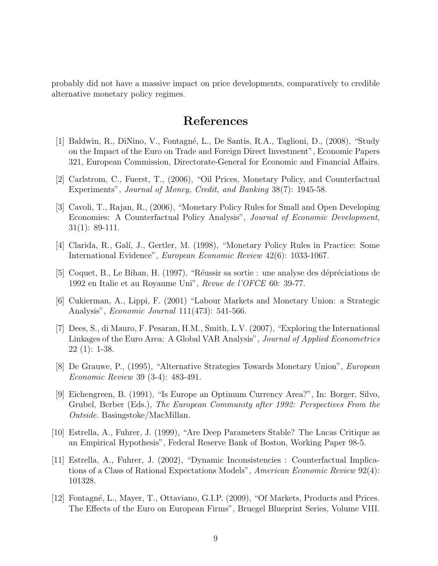probably did not have a massive impact on price developments, comparatively to credible alternative monetary policy regimes.

### References

- [1] Baldwin, R., DiNino, V., Fontagn´e, L., De Santis, R.A., Taglioni, D., (2008), "Study on the Impact of the Euro on Trade and Foreign Direct Investment", Economic Papers 321, European Commission, Directorate-General for Economic and Financial Affairs.
- [2] Carlstrom, C., Fuerst, T., (2006), "Oil Prices, Monetary Policy, and Counterfactual Experiments", Journal of Money, Credit, and Banking 38(7): 1945-58.
- [3] Cavoli, T., Rajan, R., (2006), "Monetary Policy Rules for Small and Open Developing Economies: A Counterfactual Policy Analysis", Journal of Economic Development, 31(1): 89-111.
- [4] Clarida, R., Gal´ı, J., Gertler, M. (1998), "Monetary Policy Rules in Practice: Some International Evidence", European Economic Review 42(6): 1033-1067.
- [5] Coquet, B., Le Bihan, H. (1997), "Réussir sa sortie : une analyse des dépréciations de 1992 en Italie et au Royaume Uni", Revue de l'OFCE 60: 39-77.
- [6] Cukierman, A., Lippi, F. (2001) "Labour Markets and Monetary Union: a Strategic Analysis", Economic Journal 111(473): 541-566.
- [7] Dees, S., di Mauro, F. Pesaran, H.M., Smith, L.V. (2007), "Exploring the International Linkages of the Euro Area: A Global VAR Analysis", Journal of Applied Econometrics 22 (1): 1-38.
- [8] De Grauwe, P., (1995), "Alternative Strategies Towards Monetary Union", European Economic Review 39 (3-4): 483-491.
- [9] Eichengreen, B. (1991), "Is Europe an Optimum Currency Area?", In: Borger, Silvo, Grubel, Berber (Eds.), The European Community after 1992: Perspectives From the Outside. Basingstoke/MacMillan.
- [10] Estrella, A., Fuhrer, J. (1999), "Are Deep Parameters Stable? The Lucas Critique as an Empirical Hypothesis", Federal Reserve Bank of Boston, Working Paper 98-5.
- [11] Estrella, A., Fuhrer, J. (2002), "Dynamic Inconsistencies : Counterfactual Implications of a Class of Rational Expectations Models", American Economic Review 92(4): 101328.
- [12] Fontagn´e, L., Mayer, T., Ottaviano, G.I.P. (2009), "Of Markets, Products and Prices. The Effects of the Euro on European Firms", Bruegel Blueprint Series, Volume VIII.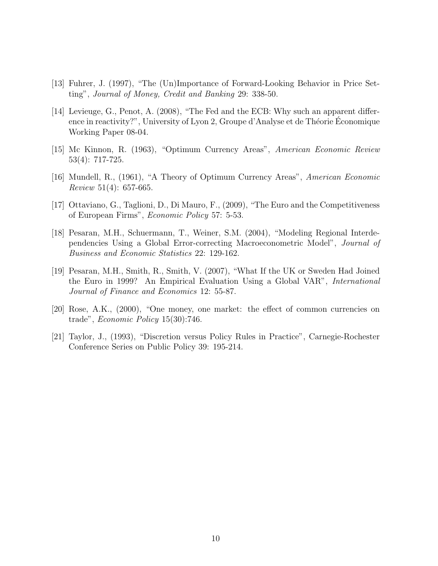- [13] Fuhrer, J. (1997), "The (Un)Importance of Forward-Looking Behavior in Price Setting", Journal of Money, Credit and Banking 29: 338-50.
- [14] Levieuge, G., Penot, A. (2008), "The Fed and the ECB: Why such an apparent difference in reactivity?", University of Lyon 2, Groupe d'Analyse et de Théorie Economique Working Paper 08-04.
- [15] Mc Kinnon, R. (1963), "Optimum Currency Areas", American Economic Review 53(4): 717-725.
- [16] Mundell, R., (1961), "A Theory of Optimum Currency Areas", American Economic *Review* 51(4): 657-665.
- [17] Ottaviano, G., Taglioni, D., Di Mauro, F., (2009), "The Euro and the Competitiveness of European Firms", Economic Policy 57: 5-53.
- [18] Pesaran, M.H., Schuermann, T., Weiner, S.M. (2004), "Modeling Regional Interdependencies Using a Global Error-correcting Macroeconometric Model", Journal of Business and Economic Statistics 22: 129-162.
- [19] Pesaran, M.H., Smith, R., Smith, V. (2007), "What If the UK or Sweden Had Joined the Euro in 1999? An Empirical Evaluation Using a Global VAR", International Journal of Finance and Economics 12: 55-87.
- [20] Rose, A.K., (2000), "One money, one market: the effect of common currencies on trade", Economic Policy 15(30):746.
- [21] Taylor, J., (1993), "Discretion versus Policy Rules in Practice", Carnegie-Rochester Conference Series on Public Policy 39: 195-214.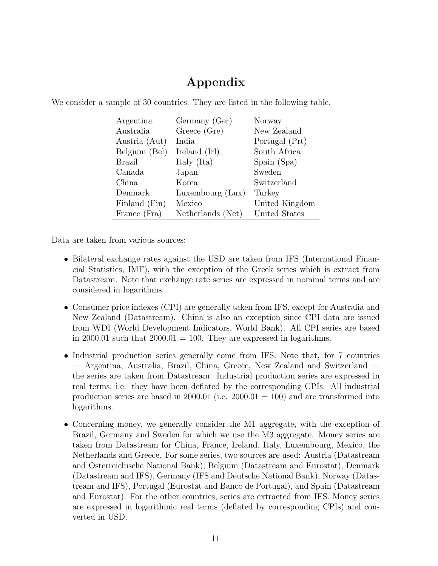# Appendix

| Argentina     | Germany (Ger)     | Norway         |
|---------------|-------------------|----------------|
| Australia     | Greece (Gre)      | New Zealand    |
| Austria (Aut) | India             | Portugal (Prt) |
| Belgium (Bel) | Ireland (Irl)     | South Africa   |
| <b>Brazil</b> | Italy (Ita)       | Spain (Spa)    |
| Canada        | Japan             | Sweden         |
| China         | Korea             | Switzerland    |
| Denmark       | Luxembourg (Lux)  | Turkey         |
| Finland (Fin) | Mexico            | United Kingdom |
| France (Fra)  | Netherlands (Net) | United States  |

We consider a sample of 30 countries. They are listed in the following table.

Data are taken from various sources:

- Bilateral exchange rates against the USD are taken from IFS (International Financial Statistics, IMF), with the exception of the Greek series which is extract from Datastream. Note that exchange rate series are expressed in nominal terms and are considered in logarithms.
- Consumer price indexes (CPI) are generally taken from IFS, except for Australia and New Zealand (Datastream). China is also an exception since CPI data are issued from WDI (World Development Indicators, World Bank). All CPI series are based in 2000.01 such that  $2000.01 = 100$ . They are expressed in logarithms.
- Industrial production series generally come from IFS. Note that, for 7 countries — Argentina, Australia, Brazil, China, Greece, New Zealand and Switzerland the series are taken from Datastream. Industrial production series are expressed in real terms, i.e. they have been deflated by the corresponding CPIs. All industrial production series are based in 2000.01 (i.e.  $2000.01 = 100$ ) and are transformed into logarithms.
- Concerning money, we generally consider the M1 aggregate, with the exception of Brazil, Germany and Sweden for which we use the M3 aggregate. Money series are taken from Datastream for China, France, Ireland, Italy, Luxembourg, Mexico, the Netherlands and Greece. For some series, two sources are used: Austria (Datastream and Osterreichische National Bank), Belgium (Datastream and Eurostat), Denmark (Datastream and IFS), Germany (IFS and Deutsche National Bank), Norway (Datastream and IFS), Portugal (Eurostat and Banco de Portugal), and Spain (Datastream and Eurostat). For the other countries, series are extracted from IFS. Money series are expressed in logarithmic real terms (deflated by corresponding CPIs) and converted in USD.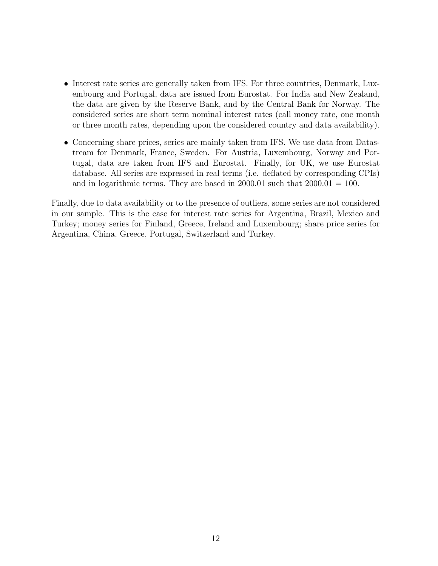- Interest rate series are generally taken from IFS. For three countries, Denmark, Luxembourg and Portugal, data are issued from Eurostat. For India and New Zealand, the data are given by the Reserve Bank, and by the Central Bank for Norway. The considered series are short term nominal interest rates (call money rate, one month or three month rates, depending upon the considered country and data availability).
- Concerning share prices, series are mainly taken from IFS. We use data from Datastream for Denmark, France, Sweden. For Austria, Luxembourg, Norway and Portugal, data are taken from IFS and Eurostat. Finally, for UK, we use Eurostat database. All series are expressed in real terms (i.e. deflated by corresponding CPIs) and in logarithmic terms. They are based in 2000.01 such that  $2000.01 = 100$ .

Finally, due to data availability or to the presence of outliers, some series are not considered in our sample. This is the case for interest rate series for Argentina, Brazil, Mexico and Turkey; money series for Finland, Greece, Ireland and Luxembourg; share price series for Argentina, China, Greece, Portugal, Switzerland and Turkey.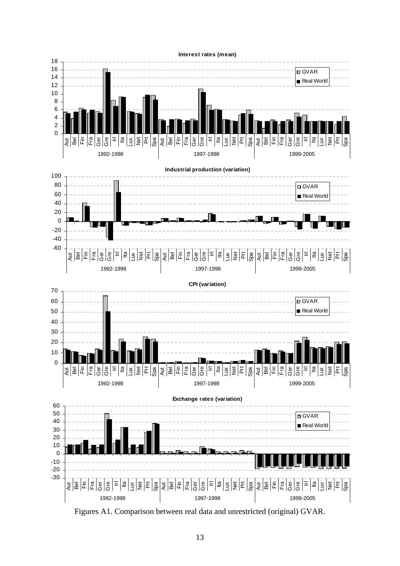

Figures A1. Comparison between real data and unrestricted (original) GVAR.